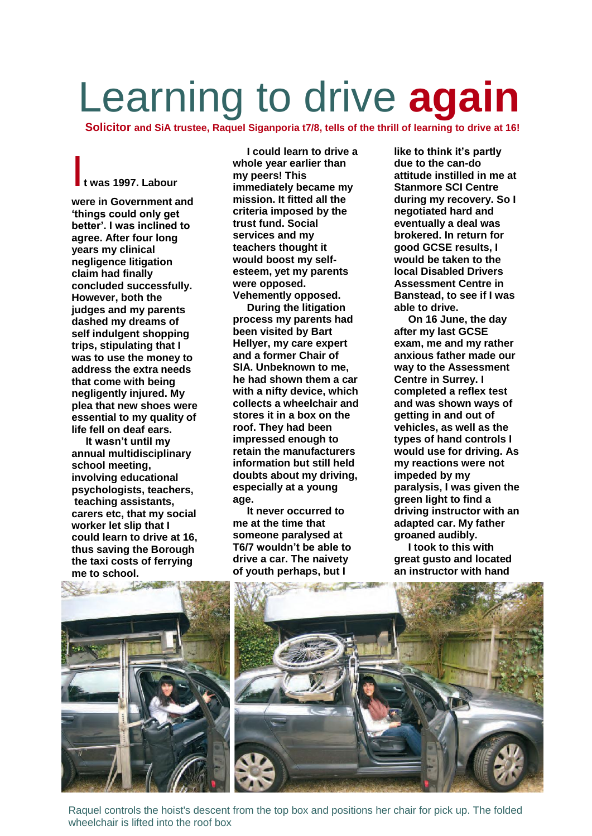## Learning to drive **again**

**Solicitor and SiA trustee, Raquel Siganporia t7/8, tells of the thrill of learning to drive at 16!**

## I**t was 1997. Labour**

**were in Government and 'things could only get better'. I was inclined to agree. After four long years my clinical negligence litigation claim had finally concluded successfully. However, both the judges and my parents dashed my dreams of self indulgent shopping trips, stipulating that I was to use the money to address the extra needs that come with being negligently injured. My plea that new shoes were essential to my quality of life fell on deaf ears.**

**It wasn't until my annual multidisciplinary school meeting, involving educational psychologists, teachers, teaching assistants, carers etc, that my social worker let slip that I could learn to drive at 16, thus saving the Borough the taxi costs of ferrying**

**I could learn to drive a whole year earlier than my peers! This immediately became my mission. It fitted all the criteria imposed by the trust fund. Social services and my teachers thought it would boost my selfesteem, yet my parents were opposed. Vehemently opposed.**

**During the litigation process my parents had been visited by Bart Hellyer, my care expert and a former Chair of SIA. Unbeknown to me, he had shown them a car with a nifty device, which collects a wheelchair and stores it in a box on the roof. They had been impressed enough to retain the manufacturers information but still held doubts about my driving, especially at a young age.**

**It never occurred to me at the time that someone paralysed at T6/7 wouldn't be able to drive a car. The naivety of youth perhaps, but I** 

**like to think it's partly due to the can-do attitude instilled in me at Stanmore SCI Centre during my recovery. So I negotiated hard and eventually a deal was brokered. In return for good GCSE results, I would be taken to the local Disabled Drivers Assessment Centre in Banstead, to see if I was able to drive.**

**On 16 June, the day after my last GCSE exam, me and my rather anxious father made our way to the Assessment Centre in Surrey. I completed a reflex test and was shown ways of getting in and out of vehicles, as well as the types of hand controls I would use for driving. As my reactions were not impeded by my paralysis, I was given the green light to find a driving instructor with an adapted car. My father groaned audibly.**

**I took to this with great gusto and located an instructor with hand** 





Raquel controls the hoist's descent from the top box and positions her chair for pick up. The folded wheelchair is lifted into the roof box